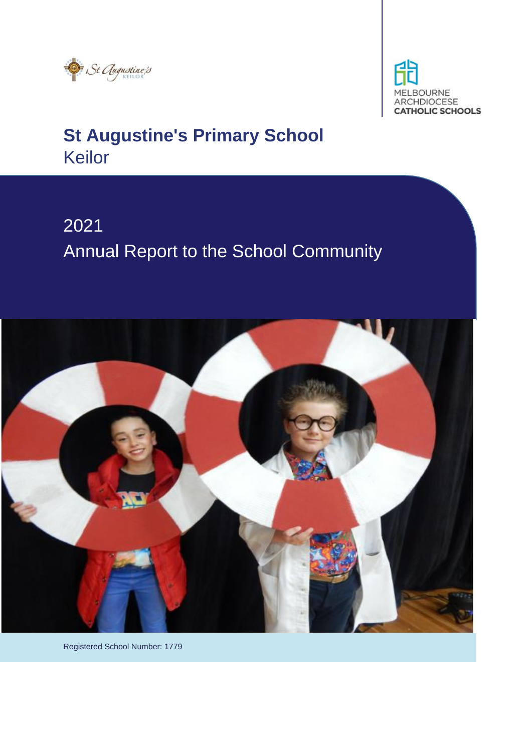



# 2021 Annual Report to the School Community



Registered School Number: 1779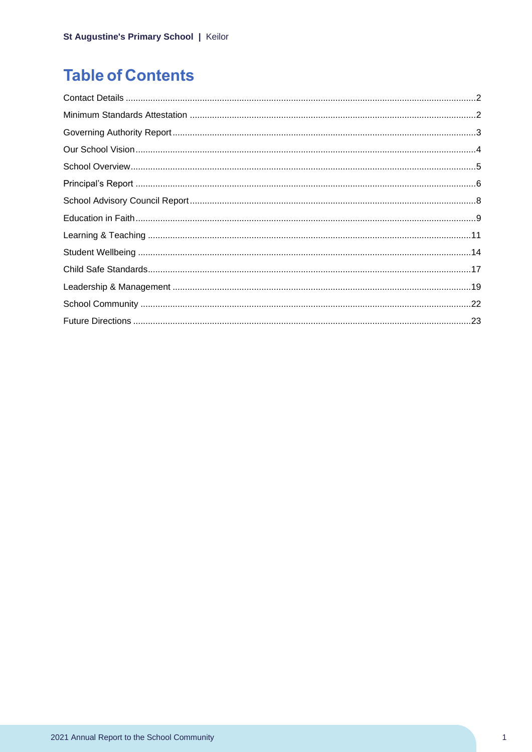## **Table of Contents**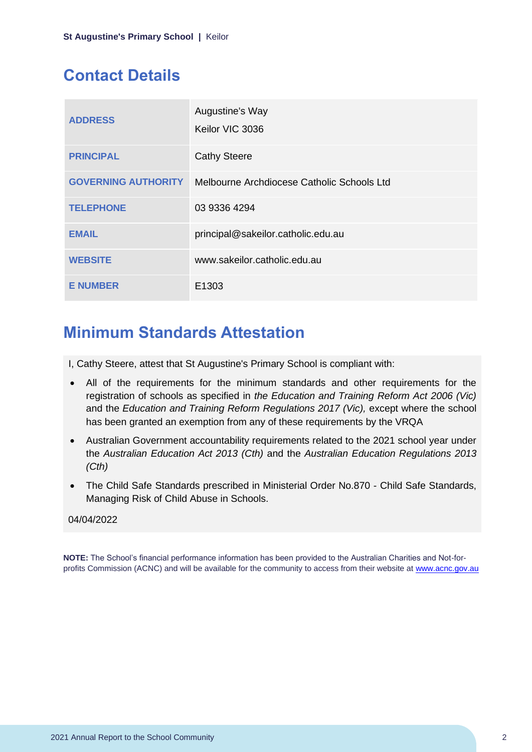## <span id="page-2-0"></span>**Contact Details**

| <b>ADDRESS</b>             | Augustine's Way<br>Keilor VIC 3036         |
|----------------------------|--------------------------------------------|
| <b>PRINCIPAL</b>           | <b>Cathy Steere</b>                        |
| <b>GOVERNING AUTHORITY</b> | Melbourne Archdiocese Catholic Schools Ltd |
| <b>TELEPHONE</b>           | 03 9336 4294                               |
| <b>EMAIL</b>               | principal@sakeilor.catholic.edu.au         |
| <b>WEBSITE</b>             | www.sakeilor.catholic.edu.au               |
| <b>E NUMBER</b>            | E1303                                      |

## <span id="page-2-1"></span>**Minimum Standards Attestation**

I, Cathy Steere, attest that St Augustine's Primary School is compliant with:

- All of the requirements for the minimum standards and other requirements for the registration of schools as specified in *the Education and Training Reform Act 2006 (Vic)* and the *Education and Training Reform Regulations 2017 (Vic),* except where the school has been granted an exemption from any of these requirements by the VRQA
- Australian Government accountability requirements related to the 2021 school year under the *Australian Education Act 2013 (Cth)* and the *Australian Education Regulations 2013 (Cth)*
- The Child Safe Standards prescribed in Ministerial Order No.870 Child Safe Standards, Managing Risk of Child Abuse in Schools.

### 04/04/2022

**NOTE:** The School's financial performance information has been provided to the Australian Charities and Not-forprofits Commission (ACNC) and will be available for the community to access from their website at [www.acnc.gov.au](http://www.acnc.gov.au/)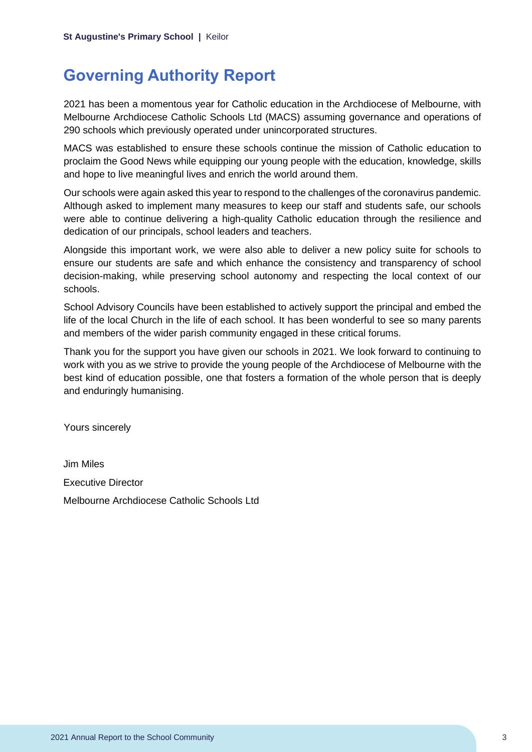## <span id="page-3-0"></span>**Governing Authority Report**

2021 has been a momentous year for Catholic education in the Archdiocese of Melbourne, with Melbourne Archdiocese Catholic Schools Ltd (MACS) assuming governance and operations of 290 schools which previously operated under unincorporated structures.

MACS was established to ensure these schools continue the mission of Catholic education to proclaim the Good News while equipping our young people with the education, knowledge, skills and hope to live meaningful lives and enrich the world around them.

Our schools were again asked this year to respond to the challenges of the coronavirus pandemic. Although asked to implement many measures to keep our staff and students safe, our schools were able to continue delivering a high-quality Catholic education through the resilience and dedication of our principals, school leaders and teachers.

Alongside this important work, we were also able to deliver a new policy suite for schools to ensure our students are safe and which enhance the consistency and transparency of school decision-making, while preserving school autonomy and respecting the local context of our schools.

School Advisory Councils have been established to actively support the principal and embed the life of the local Church in the life of each school. It has been wonderful to see so many parents and members of the wider parish community engaged in these critical forums.

Thank you for the support you have given our schools in 2021. We look forward to continuing to work with you as we strive to provide the young people of the Archdiocese of Melbourne with the best kind of education possible, one that fosters a formation of the whole person that is deeply and enduringly humanising.

Yours sincerely

Jim Miles Executive Director Melbourne Archdiocese Catholic Schools Ltd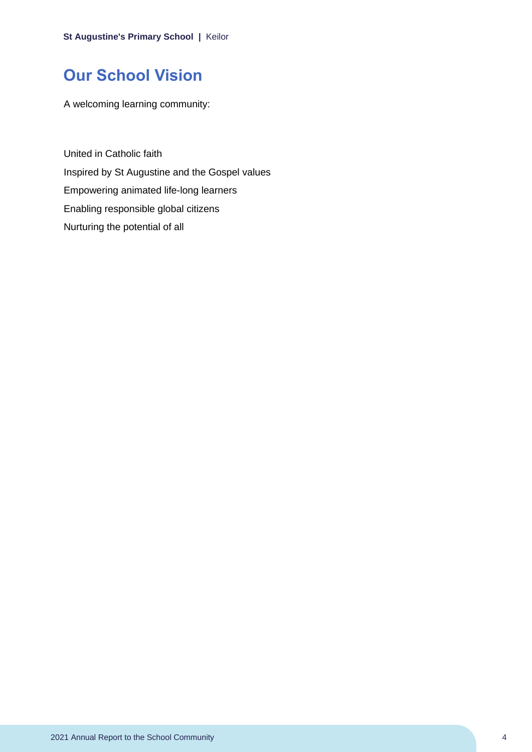## <span id="page-4-0"></span>**Our School Vision**

A welcoming learning community:

United in Catholic faith Inspired by St Augustine and the Gospel values Empowering animated life-long learners Enabling responsible global citizens Nurturing the potential of all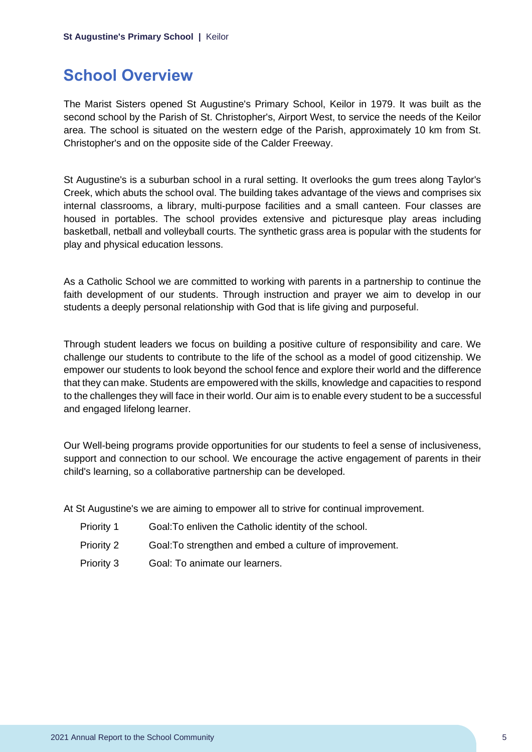## <span id="page-5-0"></span>**School Overview**

The Marist Sisters opened St Augustine's Primary School, Keilor in 1979. It was built as the second school by the Parish of St. Christopher's, Airport West, to service the needs of the Keilor area. The school is situated on the western edge of the Parish, approximately 10 km from St. Christopher's and on the opposite side of the Calder Freeway.

St Augustine's is a suburban school in a rural setting. It overlooks the gum trees along Taylor's Creek, which abuts the school oval. The building takes advantage of the views and comprises six internal classrooms, a library, multi-purpose facilities and a small canteen. Four classes are housed in portables. The school provides extensive and picturesque play areas including basketball, netball and volleyball courts. The synthetic grass area is popular with the students for play and physical education lessons.

As a Catholic School we are committed to working with parents in a partnership to continue the faith development of our students. Through instruction and prayer we aim to develop in our students a deeply personal relationship with God that is life giving and purposeful.

Through student leaders we focus on building a positive culture of responsibility and care. We challenge our students to contribute to the life of the school as a model of good citizenship. We empower our students to look beyond the school fence and explore their world and the difference that they can make. Students are empowered with the skills, knowledge and capacities to respond to the challenges they will face in their world. Our aim is to enable every student to be a successful and engaged lifelong learner.

Our Well-being programs provide opportunities for our students to feel a sense of inclusiveness, support and connection to our school. We encourage the active engagement of parents in their child's learning, so a collaborative partnership can be developed.

At St Augustine's we are aiming to empower all to strive for continual improvement.

- Priority 1 Goal: To enliven the Catholic identity of the school.
- Priority 2 Goal:To strengthen and embed a culture of improvement.
- Priority 3 Goal: To animate our learners.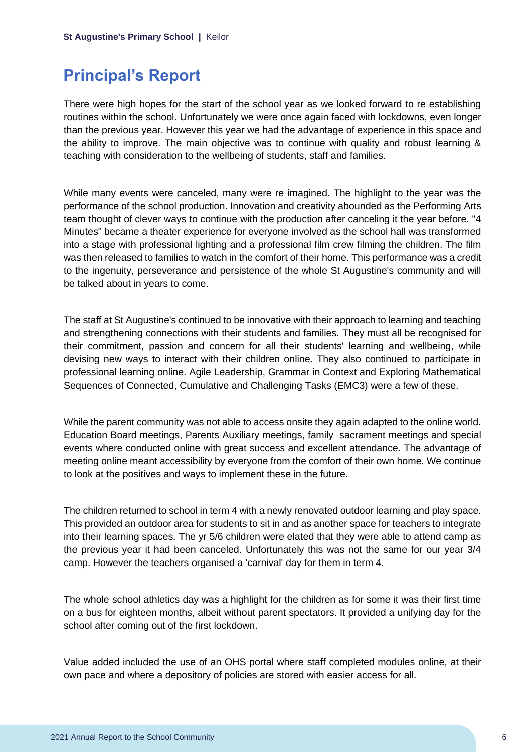## <span id="page-6-0"></span>**Principal's Report**

There were high hopes for the start of the school year as we looked forward to re establishing routines within the school. Unfortunately we were once again faced with lockdowns, even longer than the previous year. However this year we had the advantage of experience in this space and the ability to improve. The main objective was to continue with quality and robust learning & teaching with consideration to the wellbeing of students, staff and families.

While many events were canceled, many were re imagined. The highlight to the year was the performance of the school production. Innovation and creativity abounded as the Performing Arts team thought of clever ways to continue with the production after canceling it the year before. "4 Minutes" became a theater experience for everyone involved as the school hall was transformed into a stage with professional lighting and a professional film crew filming the children. The film was then released to families to watch in the comfort of their home. This performance was a credit to the ingenuity, perseverance and persistence of the whole St Augustine's community and will be talked about in years to come.

The staff at St Augustine's continued to be innovative with their approach to learning and teaching and strengthening connections with their students and families. They must all be recognised for their commitment, passion and concern for all their students' learning and wellbeing, while devising new ways to interact with their children online. They also continued to participate in professional learning online. Agile Leadership, Grammar in Context and Exploring Mathematical Sequences of Connected, Cumulative and Challenging Tasks (EMC3) were a few of these.

While the parent community was not able to access onsite they again adapted to the online world. Education Board meetings, Parents Auxiliary meetings, family sacrament meetings and special events where conducted online with great success and excellent attendance. The advantage of meeting online meant accessibility by everyone from the comfort of their own home. We continue to look at the positives and ways to implement these in the future.

The children returned to school in term 4 with a newly renovated outdoor learning and play space. This provided an outdoor area for students to sit in and as another space for teachers to integrate into their learning spaces. The yr 5/6 children were elated that they were able to attend camp as the previous year it had been canceled. Unfortunately this was not the same for our year 3/4 camp. However the teachers organised a 'carnival' day for them in term 4.

The whole school athletics day was a highlight for the children as for some it was their first time on a bus for eighteen months, albeit without parent spectators. It provided a unifying day for the school after coming out of the first lockdown.

Value added included the use of an OHS portal where staff completed modules online, at their own pace and where a depository of policies are stored with easier access for all.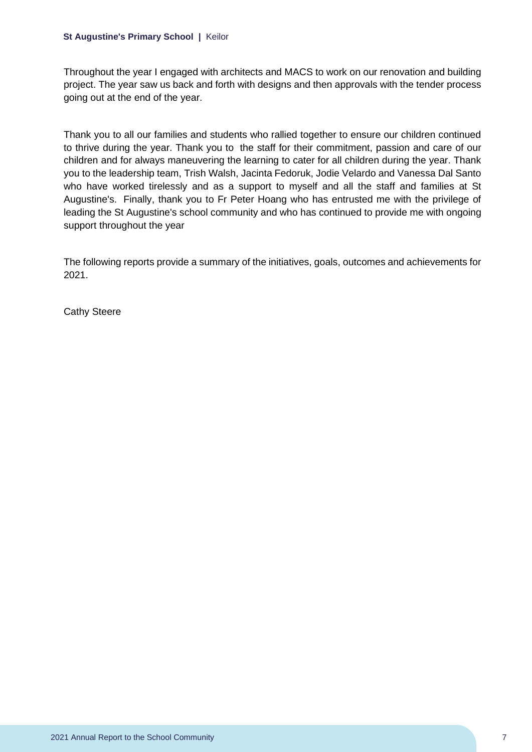Throughout the year I engaged with architects and MACS to work on our renovation and building project. The year saw us back and forth with designs and then approvals with the tender process going out at the end of the year.

Thank you to all our families and students who rallied together to ensure our children continued to thrive during the year. Thank you to the staff for their commitment, passion and care of our children and for always maneuvering the learning to cater for all children during the year. Thank you to the leadership team, Trish Walsh, Jacinta Fedoruk, Jodie Velardo and Vanessa Dal Santo who have worked tirelessly and as a support to myself and all the staff and families at St Augustine's. Finally, thank you to Fr Peter Hoang who has entrusted me with the privilege of leading the St Augustine's school community and who has continued to provide me with ongoing support throughout the year

The following reports provide a summary of the initiatives, goals, outcomes and achievements for 2021.

Cathy Steere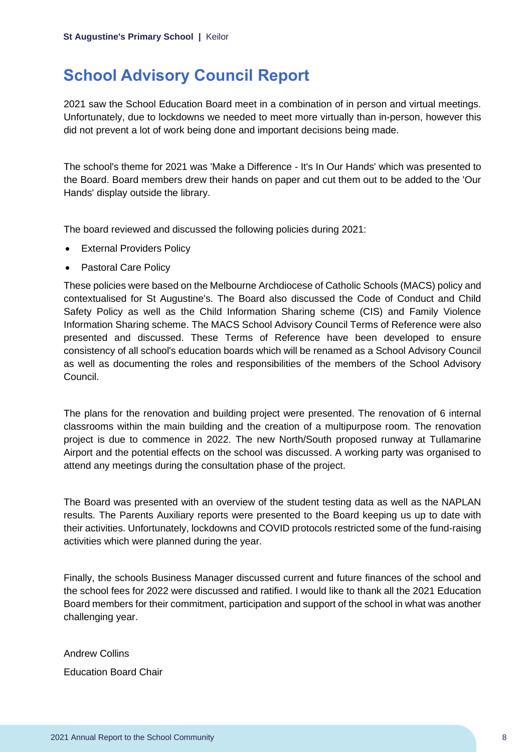## <span id="page-8-0"></span>**School Advisory Council Report**

2021 saw the School Education Board meet in a combination of in person and virtual meetings. Unfortunately, due to lockdowns we needed to meet more virtually than in-person, however this did not prevent a lot of work being done and important decisions being made.

The school's theme for 2021 was 'Make a Difference - It's In Our Hands' which was presented to the Board. Board members drew their hands on paper and cut them out to be added to the 'Our Hands' display outside the library.

The board reviewed and discussed the following policies during 2021:

- External Providers Policy
- Pastoral Care Policy

These policies were based on the Melbourne Archdiocese of Catholic Schools (MACS) policy and contextualised for St Augustine's. The Board also discussed the Code of Conduct and Child Safety Policy as well as the Child Information Sharing scheme (CIS) and Family Violence Information Sharing scheme. The MACS School Advisory Council Terms of Reference were also presented and discussed. These Terms of Reference have been developed to ensure consistency of all school's education boards which will be renamed as a School Advisory Council as well as documenting the roles and responsibilities of the members of the School Advisory Council.

The plans for the renovation and building project were presented. The renovation of 6 internal classrooms within the main building and the creation of a multipurpose room. The renovation project is due to commence in 2022. The new North/South proposed runway at Tullamarine Airport and the potential effects on the school was discussed. A working party was organised to attend any meetings during the consultation phase of the project.

The Board was presented with an overview of the student testing data as well as the NAPLAN results. The Parents Auxiliary reports were presented to the Board keeping us up to date with their activities. Unfortunately, lockdowns and COVID protocols restricted some of the fund-raising activities which were planned during the year.

Finally, the schools Business Manager discussed current and future finances of the school and the school fees for 2022 were discussed and ratified. I would like to thank all the 2021 Education Board members for their commitment, participation and support of the school in what was another challenging year.

Andrew Collins

Education Board Chair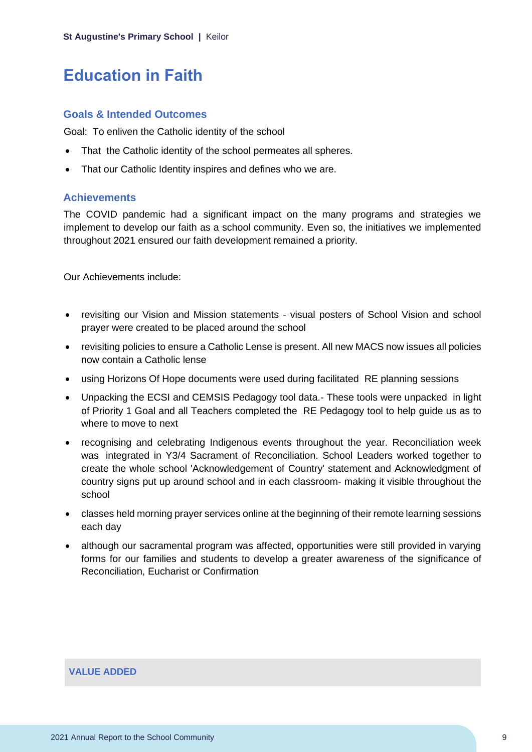## <span id="page-9-0"></span>**Education in Faith**

#### **Goals & Intended Outcomes**

Goal: To enliven the Catholic identity of the school

- That the Catholic identity of the school permeates all spheres.
- That our Catholic Identity inspires and defines who we are.

#### **Achievements**

The COVID pandemic had a significant impact on the many programs and strategies we implement to develop our faith as a school community. Even so, the initiatives we implemented throughout 2021 ensured our faith development remained a priority.

Our Achievements include:

- revisiting our Vision and Mission statements visual posters of School Vision and school prayer were created to be placed around the school
- revisiting policies to ensure a Catholic Lense is present. All new MACS now issues all policies now contain a Catholic lense
- using Horizons Of Hope documents were used during facilitated RE planning sessions
- Unpacking the ECSI and CEMSIS Pedagogy tool data.- These tools were unpacked in light of Priority 1 Goal and all Teachers completed the RE Pedagogy tool to help guide us as to where to move to next
- recognising and celebrating Indigenous events throughout the year. Reconciliation week was integrated in Y3/4 Sacrament of Reconciliation. School Leaders worked together to create the whole school 'Acknowledgement of Country' statement and Acknowledgment of country signs put up around school and in each classroom- making it visible throughout the school
- classes held morning prayer services online at the beginning of their remote learning sessions each day
- although our sacramental program was affected, opportunities were still provided in varying forms for our families and students to develop a greater awareness of the significance of Reconciliation, Eucharist or Confirmation

#### **VALUE ADDED**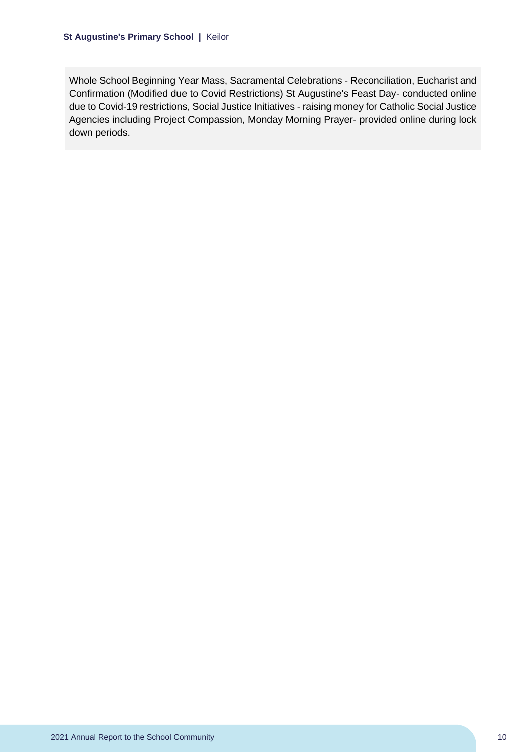Whole School Beginning Year Mass, Sacramental Celebrations - Reconciliation, Eucharist and Confirmation (Modified due to Covid Restrictions) St Augustine's Feast Day- conducted online due to Covid-19 restrictions, Social Justice Initiatives - raising money for Catholic Social Justice Agencies including Project Compassion, Monday Morning Prayer- provided online during lock down periods.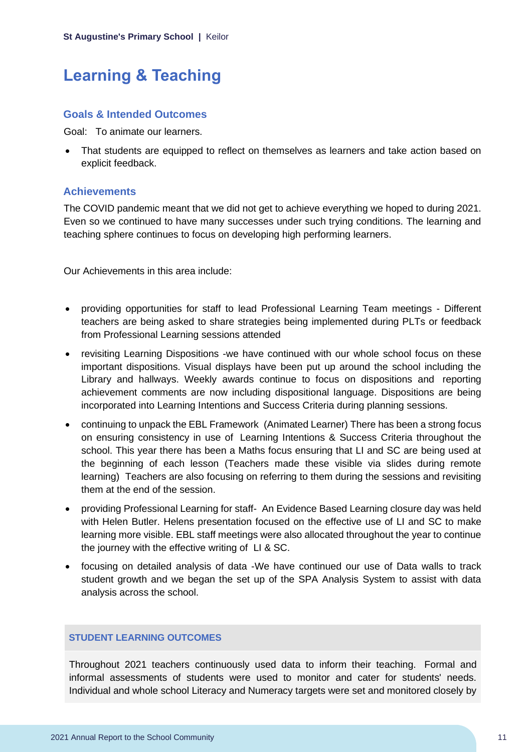## <span id="page-11-0"></span>**Learning & Teaching**

### **Goals & Intended Outcomes**

Goal: To animate our learners.

• That students are equipped to reflect on themselves as learners and take action based on explicit feedback.

## **Achievements**

The COVID pandemic meant that we did not get to achieve everything we hoped to during 2021. Even so we continued to have many successes under such trying conditions. The learning and teaching sphere continues to focus on developing high performing learners.

Our Achievements in this area include:

- providing opportunities for staff to lead Professional Learning Team meetings Different teachers are being asked to share strategies being implemented during PLTs or feedback from Professional Learning sessions attended
- revisiting Learning Dispositions -we have continued with our whole school focus on these important dispositions. Visual displays have been put up around the school including the Library and hallways. Weekly awards continue to focus on dispositions and reporting achievement comments are now including dispositional language. Dispositions are being incorporated into Learning Intentions and Success Criteria during planning sessions.
- continuing to unpack the EBL Framework (Animated Learner) There has been a strong focus on ensuring consistency in use of Learning Intentions & Success Criteria throughout the school. This year there has been a Maths focus ensuring that LI and SC are being used at the beginning of each lesson (Teachers made these visible via slides during remote learning) Teachers are also focusing on referring to them during the sessions and revisiting them at the end of the session.
- providing Professional Learning for staff- An Evidence Based Learning closure day was held with Helen Butler. Helens presentation focused on the effective use of LI and SC to make learning more visible. EBL staff meetings were also allocated throughout the year to continue the journey with the effective writing of LI & SC.
- focusing on detailed analysis of data -We have continued our use of Data walls to track student growth and we began the set up of the SPA Analysis System to assist with data analysis across the school.

## **STUDENT LEARNING OUTCOMES**

Throughout 2021 teachers continuously used data to inform their teaching. Formal and informal assessments of students were used to monitor and cater for students' needs. Individual and whole school Literacy and Numeracy targets were set and monitored closely by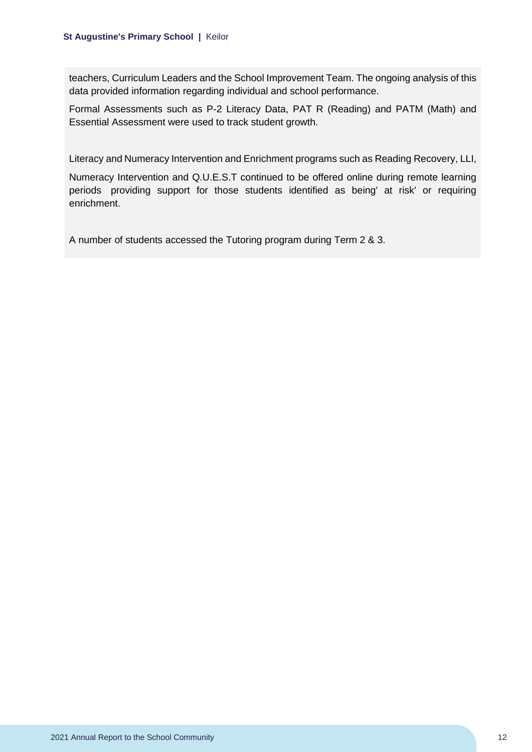teachers, Curriculum Leaders and the School Improvement Team. The ongoing analysis of this data provided information regarding individual and school performance.

Formal Assessments such as P-2 Literacy Data, PAT R (Reading) and PATM (Math) and Essential Assessment were used to track student growth.

Literacy and Numeracy Intervention and Enrichment programs such as Reading Recovery, LLI,

Numeracy Intervention and Q.U.E.S.T continued to be offered online during remote learning periods providing support for those students identified as being' at risk' or requiring enrichment.

A number of students accessed the Tutoring program during Term 2 & 3.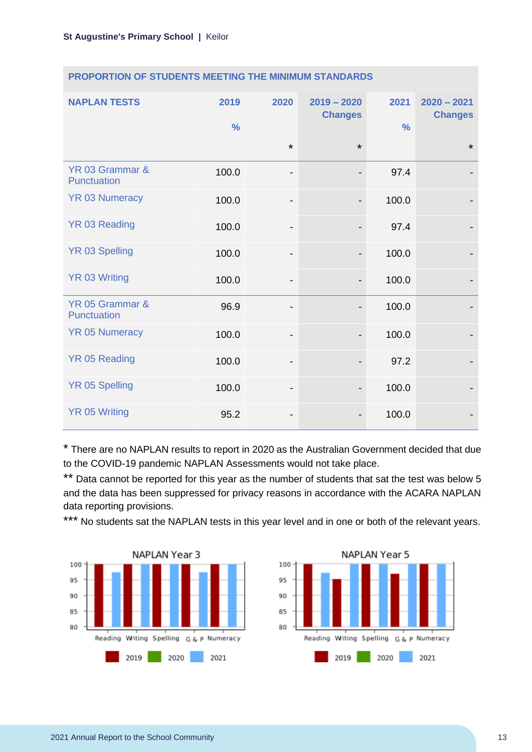| <b>NAPLAN TESTS</b>                   | 2019<br>$\frac{0}{0}$ | 2020                         | $2019 - 2020$<br><b>Changes</b> | 2021<br>$\frac{0}{0}$ | $2020 - 2021$<br><b>Changes</b> |
|---------------------------------------|-----------------------|------------------------------|---------------------------------|-----------------------|---------------------------------|
|                                       |                       | $\star$                      | $\star$                         |                       | $\star$                         |
| YR 03 Grammar &<br><b>Punctuation</b> | 100.0                 | $\overline{\phantom{a}}$     | $\overline{\phantom{a}}$        | 97.4                  |                                 |
| <b>YR 03 Numeracy</b>                 | 100.0                 | $\qquad \qquad \blacksquare$ | $\overline{\phantom{a}}$        | 100.0                 |                                 |
| YR 03 Reading                         | 100.0                 | $\overline{\phantom{a}}$     |                                 | 97.4                  |                                 |
| <b>YR 03 Spelling</b>                 | 100.0                 | $\overline{\phantom{a}}$     | $\overline{\phantom{a}}$        | 100.0                 |                                 |
| <b>YR 03 Writing</b>                  | 100.0                 | -                            |                                 | 100.0                 |                                 |
| YR 05 Grammar &<br><b>Punctuation</b> | 96.9                  | $\qquad \qquad \blacksquare$ |                                 | 100.0                 |                                 |
| <b>YR 05 Numeracy</b>                 | 100.0                 | $\qquad \qquad \blacksquare$ |                                 | 100.0                 |                                 |
| <b>YR 05 Reading</b>                  | 100.0                 | $\overline{\phantom{a}}$     |                                 | 97.2                  |                                 |
| <b>YR 05 Spelling</b>                 | 100.0                 | $\overline{\phantom{a}}$     |                                 | 100.0                 |                                 |
| <b>YR 05 Writing</b>                  | 95.2                  | -                            |                                 | 100.0                 |                                 |

### **PROPORTION OF STUDENTS MEETING THE MINIMUM STANDARDS**

\* There are no NAPLAN results to report in 2020 as the Australian Government decided that due to the COVID-19 pandemic NAPLAN Assessments would not take place.

\*\* Data cannot be reported for this year as the number of students that sat the test was below 5 and the data has been suppressed for privacy reasons in accordance with the ACARA NAPLAN data reporting provisions.

\*\*\* No students sat the NAPLAN tests in this year level and in one or both of the relevant years.



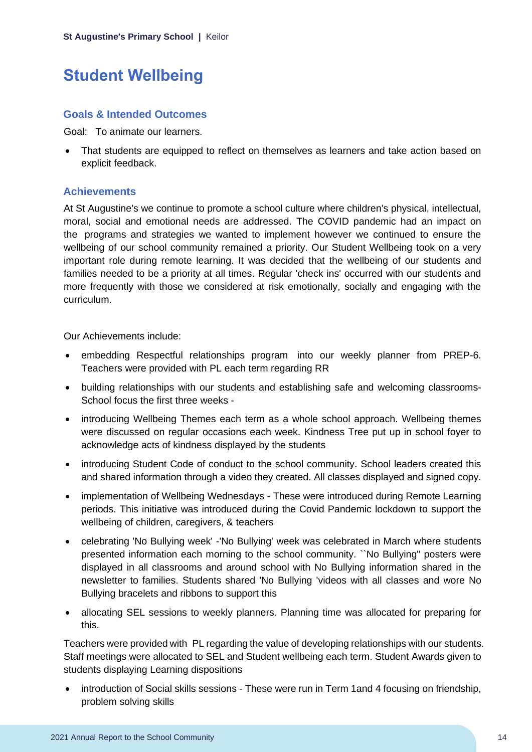## <span id="page-14-0"></span>**Student Wellbeing**

## **Goals & Intended Outcomes**

Goal: To animate our learners.

• That students are equipped to reflect on themselves as learners and take action based on explicit feedback.

## **Achievements**

At St Augustine's we continue to promote a school culture where children's physical, intellectual, moral, social and emotional needs are addressed. The COVID pandemic had an impact on the programs and strategies we wanted to implement however we continued to ensure the wellbeing of our school community remained a priority. Our Student Wellbeing took on a very important role during remote learning. It was decided that the wellbeing of our students and families needed to be a priority at all times. Regular 'check ins' occurred with our students and more frequently with those we considered at risk emotionally, socially and engaging with the curriculum.

Our Achievements include:

- embedding Respectful relationships program into our weekly planner from PREP-6. Teachers were provided with PL each term regarding RR
- building relationships with our students and establishing safe and welcoming classrooms-School focus the first three weeks -
- introducing Wellbeing Themes each term as a whole school approach. Wellbeing themes were discussed on regular occasions each week. Kindness Tree put up in school foyer to acknowledge acts of kindness displayed by the students
- introducing Student Code of conduct to the school community. School leaders created this and shared information through a video they created. All classes displayed and signed copy.
- implementation of Wellbeing Wednesdays These were introduced during Remote Learning periods. This initiative was introduced during the Covid Pandemic lockdown to support the wellbeing of children, caregivers, & teachers
- celebrating 'No Bullying week' -'No Bullying' week was celebrated in March where students presented information each morning to the school community. ``No Bullying" posters were displayed in all classrooms and around school with No Bullying information shared in the newsletter to families. Students shared 'No Bullying 'videos with all classes and wore No Bullying bracelets and ribbons to support this
- allocating SEL sessions to weekly planners. Planning time was allocated for preparing for this.

Teachers were provided with PL regarding the value of developing relationships with our students. Staff meetings were allocated to SEL and Student wellbeing each term. Student Awards given to students displaying Learning dispositions

• introduction of Social skills sessions - These were run in Term 1and 4 focusing on friendship, problem solving skills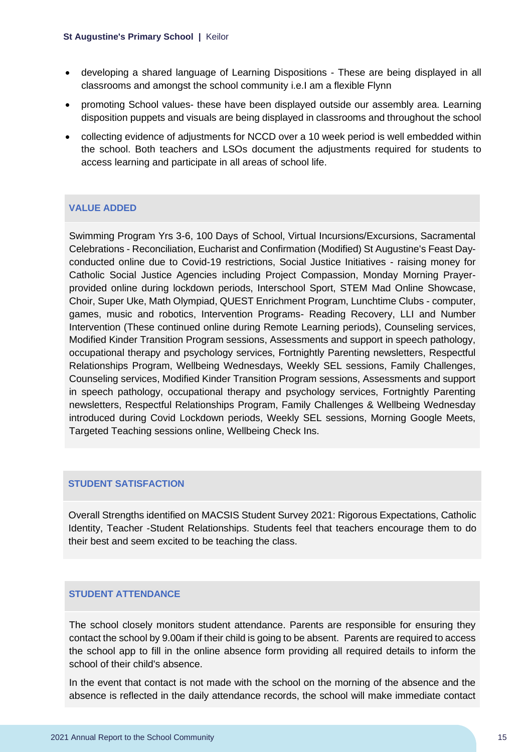- developing a shared language of Learning Dispositions These are being displayed in all classrooms and amongst the school community i.e.I am a flexible Flynn
- promoting School values- these have been displayed outside our assembly area. Learning disposition puppets and visuals are being displayed in classrooms and throughout the school
- collecting evidence of adjustments for NCCD over a 10 week period is well embedded within the school. Both teachers and LSOs document the adjustments required for students to access learning and participate in all areas of school life.

### **VALUE ADDED**

Swimming Program Yrs 3-6, 100 Days of School, Virtual Incursions/Excursions, Sacramental Celebrations - Reconciliation, Eucharist and Confirmation (Modified) St Augustine's Feast Dayconducted online due to Covid-19 restrictions, Social Justice Initiatives - raising money for Catholic Social Justice Agencies including Project Compassion, Monday Morning Prayerprovided online during lockdown periods, Interschool Sport, STEM Mad Online Showcase, Choir, Super Uke, Math Olympiad, QUEST Enrichment Program, Lunchtime Clubs - computer, games, music and robotics, Intervention Programs- Reading Recovery, LLI and Number Intervention (These continued online during Remote Learning periods), Counseling services, Modified Kinder Transition Program sessions, Assessments and support in speech pathology, occupational therapy and psychology services, Fortnightly Parenting newsletters, Respectful Relationships Program, Wellbeing Wednesdays, Weekly SEL sessions, Family Challenges, Counseling services, Modified Kinder Transition Program sessions, Assessments and support in speech pathology, occupational therapy and psychology services, Fortnightly Parenting newsletters, Respectful Relationships Program, Family Challenges & Wellbeing Wednesday introduced during Covid Lockdown periods, Weekly SEL sessions, Morning Google Meets, Targeted Teaching sessions online, Wellbeing Check Ins.

### **STUDENT SATISFACTION**

Overall Strengths identified on MACSIS Student Survey 2021: Rigorous Expectations, Catholic Identity, Teacher -Student Relationships. Students feel that teachers encourage them to do their best and seem excited to be teaching the class.

### **STUDENT ATTENDANCE**

The school closely monitors student attendance. Parents are responsible for ensuring they contact the school by 9.00am if their child is going to be absent. Parents are required to access the school app to fill in the online absence form providing all required details to inform the school of their child's absence.

In the event that contact is not made with the school on the morning of the absence and the absence is reflected in the daily attendance records, the school will make immediate contact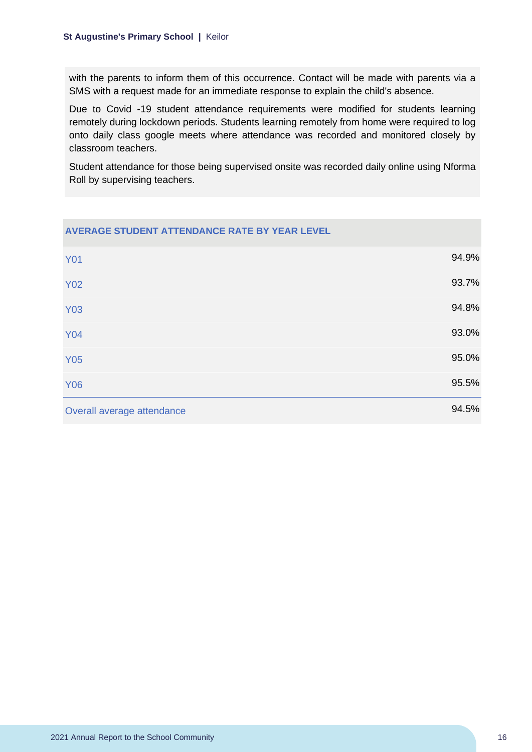with the parents to inform them of this occurrence. Contact will be made with parents via a SMS with a request made for an immediate response to explain the child's absence.

Due to Covid -19 student attendance requirements were modified for students learning remotely during lockdown periods. Students learning remotely from home were required to log onto daily class google meets where attendance was recorded and monitored closely by classroom teachers.

Student attendance for those being supervised onsite was recorded daily online using Nforma Roll by supervising teachers.

| <b>AVERAGE STUDENT ATTENDANCE RATE BY YEAR LEVEL</b> |       |
|------------------------------------------------------|-------|
| <b>Y01</b>                                           | 94.9% |
| <b>Y02</b>                                           | 93.7% |
| <b>Y03</b>                                           | 94.8% |
| <b>Y04</b>                                           | 93.0% |
| <b>Y05</b>                                           | 95.0% |
| <b>Y06</b>                                           | 95.5% |
| Overall average attendance                           | 94.5% |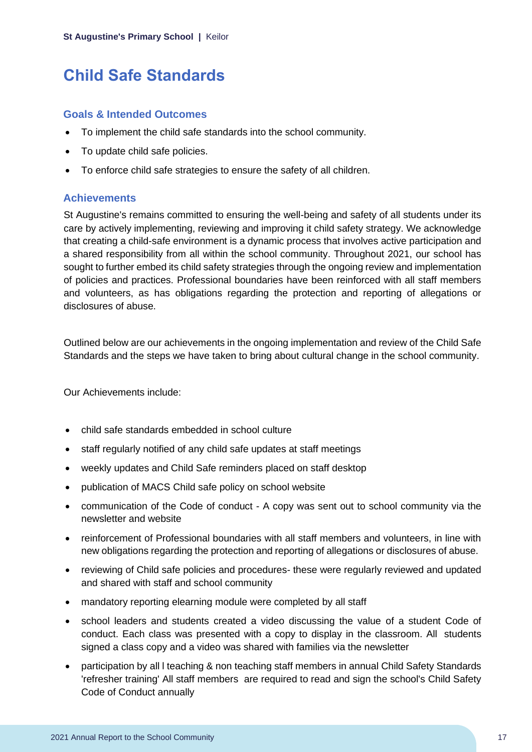## <span id="page-17-0"></span>**Child Safe Standards**

### **Goals & Intended Outcomes**

- To implement the child safe standards into the school community.
- To update child safe policies.
- To enforce child safe strategies to ensure the safety of all children.

## **Achievements**

St Augustine's remains committed to ensuring the well-being and safety of all students under its care by actively implementing, reviewing and improving it child safety strategy. We acknowledge that creating a child-safe environment is a dynamic process that involves active participation and a shared responsibility from all within the school community. Throughout 2021, our school has sought to further embed its child safety strategies through the ongoing review and implementation of policies and practices. Professional boundaries have been reinforced with all staff members and volunteers, as has obligations regarding the protection and reporting of allegations or disclosures of abuse.

Outlined below are our achievements in the ongoing implementation and review of the Child Safe Standards and the steps we have taken to bring about cultural change in the school community.

Our Achievements include:

- child safe standards embedded in school culture
- staff regularly notified of any child safe updates at staff meetings
- weekly updates and Child Safe reminders placed on staff desktop
- publication of MACS Child safe policy on school website
- communication of the Code of conduct A copy was sent out to school community via the newsletter and website
- reinforcement of Professional boundaries with all staff members and volunteers, in line with new obligations regarding the protection and reporting of allegations or disclosures of abuse.
- reviewing of Child safe policies and procedures- these were regularly reviewed and updated and shared with staff and school community
- mandatory reporting elearning module were completed by all staff
- school leaders and students created a video discussing the value of a student Code of conduct. Each class was presented with a copy to display in the classroom. All students signed a class copy and a video was shared with families via the newsletter
- participation by all I teaching & non teaching staff members in annual Child Safety Standards 'refresher training' All staff members are required to read and sign the school's Child Safety Code of Conduct annually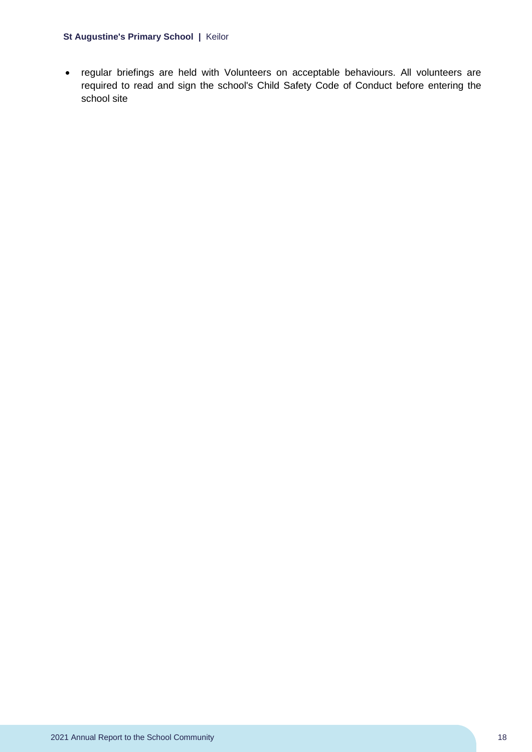• regular briefings are held with Volunteers on acceptable behaviours. All volunteers are required to read and sign the school's Child Safety Code of Conduct before entering the school site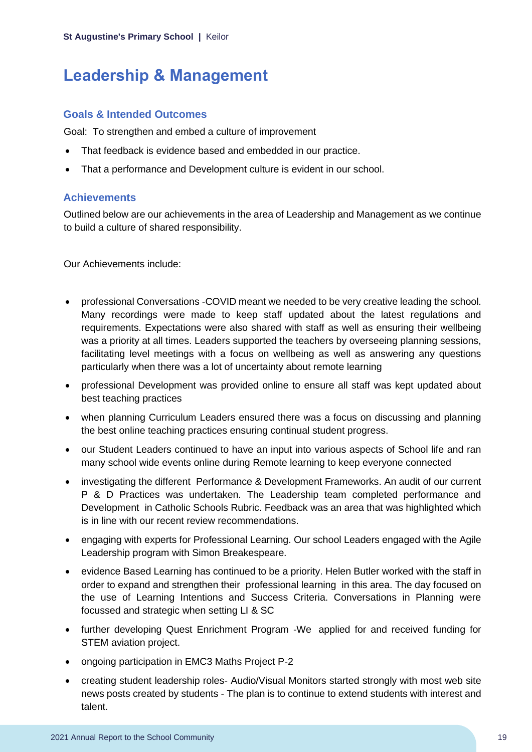## <span id="page-19-0"></span>**Leadership & Management**

## **Goals & Intended Outcomes**

Goal: To strengthen and embed a culture of improvement

- That feedback is evidence based and embedded in our practice.
- That a performance and Development culture is evident in our school.

## **Achievements**

Outlined below are our achievements in the area of Leadership and Management as we continue to build a culture of shared responsibility.

Our Achievements include:

- professional Conversations -COVID meant we needed to be very creative leading the school. Many recordings were made to keep staff updated about the latest regulations and requirements. Expectations were also shared with staff as well as ensuring their wellbeing was a priority at all times. Leaders supported the teachers by overseeing planning sessions, facilitating level meetings with a focus on wellbeing as well as answering any questions particularly when there was a lot of uncertainty about remote learning
- professional Development was provided online to ensure all staff was kept updated about best teaching practices
- when planning Curriculum Leaders ensured there was a focus on discussing and planning the best online teaching practices ensuring continual student progress.
- our Student Leaders continued to have an input into various aspects of School life and ran many school wide events online during Remote learning to keep everyone connected
- investigating the different Performance & Development Frameworks. An audit of our current P & D Practices was undertaken. The Leadership team completed performance and Development in Catholic Schools Rubric. Feedback was an area that was highlighted which is in line with our recent review recommendations.
- engaging with experts for Professional Learning. Our school Leaders engaged with the Agile Leadership program with Simon Breakespeare.
- evidence Based Learning has continued to be a priority. Helen Butler worked with the staff in order to expand and strengthen their professional learning in this area. The day focused on the use of Learning Intentions and Success Criteria. Conversations in Planning were focussed and strategic when setting LI & SC
- further developing Quest Enrichment Program -We applied for and received funding for STEM aviation project.
- ongoing participation in EMC3 Maths Project P-2
- creating student leadership roles- Audio/Visual Monitors started strongly with most web site news posts created by students - The plan is to continue to extend students with interest and talent.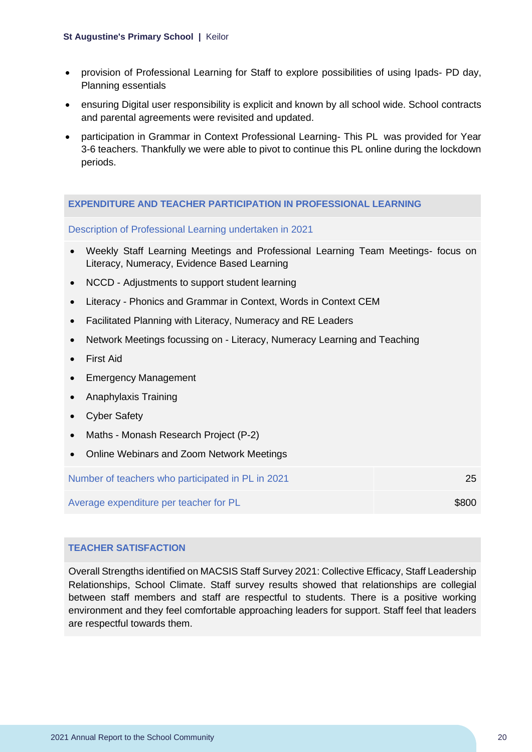- provision of Professional Learning for Staff to explore possibilities of using Ipads- PD day, Planning essentials
- ensuring Digital user responsibility is explicit and known by all school wide. School contracts and parental agreements were revisited and updated.
- participation in Grammar in Context Professional Learning- This PL was provided for Year 3-6 teachers. Thankfully we were able to pivot to continue this PL online during the lockdown periods.

#### **EXPENDITURE AND TEACHER PARTICIPATION IN PROFESSIONAL LEARNING**

### Description of Professional Learning undertaken in 2021

- Weekly Staff Learning Meetings and Professional Learning Team Meetings- focus on Literacy, Numeracy, Evidence Based Learning
- NCCD Adjustments to support student learning
- Literacy Phonics and Grammar in Context, Words in Context CEM
- Facilitated Planning with Literacy, Numeracy and RE Leaders
- Network Meetings focussing on Literacy, Numeracy Learning and Teaching
- First Aid
- Emergency Management
- Anaphylaxis Training
- Cyber Safety
- Maths Monash Research Project (P-2)
- Online Webinars and Zoom Network Meetings

| Number of teachers who participated in PL in 2021 |       |
|---------------------------------------------------|-------|
| Average expenditure per teacher for PL            | \$800 |

### **TEACHER SATISFACTION**

Overall Strengths identified on MACSIS Staff Survey 2021: Collective Efficacy, Staff Leadership Relationships, School Climate. Staff survey results showed that relationships are collegial between staff members and staff are respectful to students. There is a positive working environment and they feel comfortable approaching leaders for support. Staff feel that leaders are respectful towards them.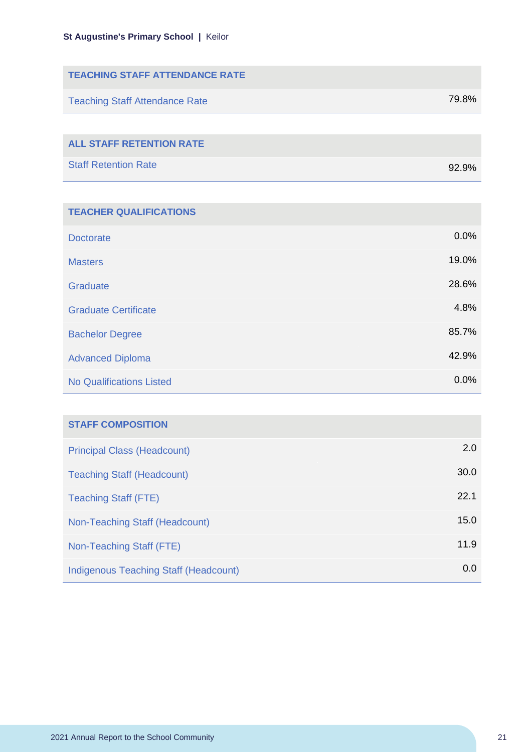| <b>TEACHING STAFF ATTENDANCE RATE</b> |          |
|---------------------------------------|----------|
| <b>Teaching Staff Attendance Rate</b> | 79.8%    |
|                                       |          |
| <b>ALL STAFF RETENTION RATE</b>       |          |
| <b>Staff Retention Rate</b>           | $92.9\%$ |
|                                       |          |

| <b>TEACHER QUALIFICATIONS</b>   |       |
|---------------------------------|-------|
| <b>Doctorate</b>                | 0.0%  |
| <b>Masters</b>                  | 19.0% |
| Graduate                        | 28.6% |
| <b>Graduate Certificate</b>     | 4.8%  |
| <b>Bachelor Degree</b>          | 85.7% |
| <b>Advanced Diploma</b>         | 42.9% |
| <b>No Qualifications Listed</b> | 0.0%  |

| <b>STAFF COMPOSITION</b>              |      |
|---------------------------------------|------|
| <b>Principal Class (Headcount)</b>    | 2.0  |
| <b>Teaching Staff (Headcount)</b>     | 30.0 |
| <b>Teaching Staff (FTE)</b>           | 22.1 |
| Non-Teaching Staff (Headcount)        | 15.0 |
| Non-Teaching Staff (FTE)              | 11.9 |
| Indigenous Teaching Staff (Headcount) | 0.0  |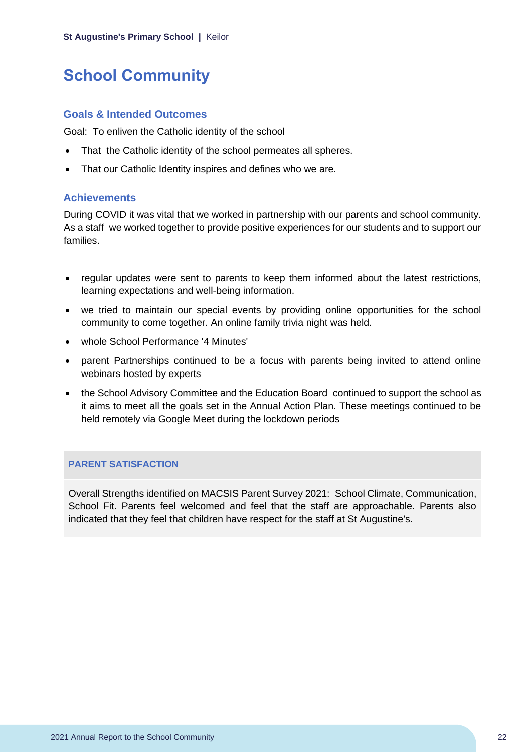## <span id="page-22-0"></span>**School Community**

### **Goals & Intended Outcomes**

Goal: To enliven the Catholic identity of the school

- That the Catholic identity of the school permeates all spheres.
- That our Catholic Identity inspires and defines who we are.

### **Achievements**

During COVID it was vital that we worked in partnership with our parents and school community. As a staff we worked together to provide positive experiences for our students and to support our families.

- regular updates were sent to parents to keep them informed about the latest restrictions, learning expectations and well-being information.
- we tried to maintain our special events by providing online opportunities for the school community to come together. An online family trivia night was held.
- whole School Performance '4 Minutes'
- parent Partnerships continued to be a focus with parents being invited to attend online webinars hosted by experts
- the School Advisory Committee and the Education Board continued to support the school as it aims to meet all the goals set in the Annual Action Plan. These meetings continued to be held remotely via Google Meet during the lockdown periods

### **PARENT SATISFACTION**

Overall Strengths identified on MACSIS Parent Survey 2021: School Climate, Communication, School Fit. Parents feel welcomed and feel that the staff are approachable. Parents also indicated that they feel that children have respect for the staff at St Augustine's.